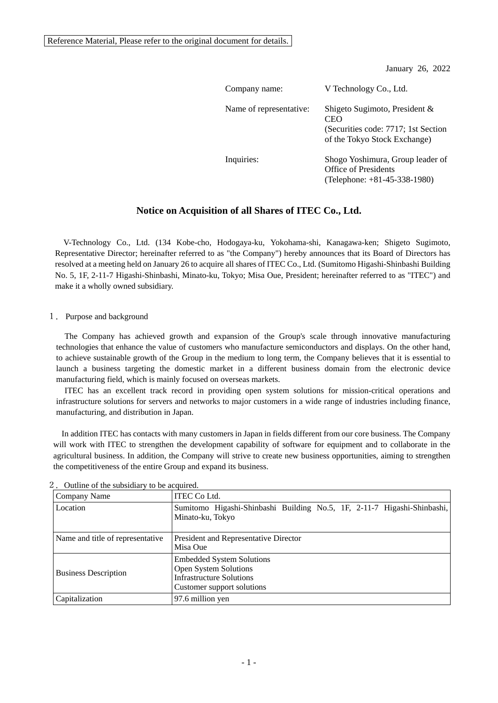Reference Material, Please refer to the original document for details.

January 26, 2022

| Company name:           | V Technology Co., Ltd.                                                                                      |
|-------------------------|-------------------------------------------------------------------------------------------------------------|
| Name of representative: | Shigeto Sugimoto, President &<br>CEO<br>(Securities code: 7717; 1st Section<br>of the Tokyo Stock Exchange) |
| Inquiries:              | Shogo Yoshimura, Group leader of<br>Office of Presidents<br>(Telephone: $+81-45-338-1980$ )                 |

# **Notice on Acquisition of all Shares of ITEC Co., Ltd.**

V-Technology Co., Ltd. (134 Kobe-cho, Hodogaya-ku, Yokohama-shi, Kanagawa-ken; Shigeto Sugimoto, Representative Director; hereinafter referred to as "the Company") hereby announces that its Board of Directors has resolved at a meeting held on January 26 to acquire all shares of ITEC Co., Ltd. (Sumitomo Higashi-Shinbashi Building No. 5, 1F, 2-11-7 Higashi-Shinbashi, Minato-ku, Tokyo; Misa Oue, President; hereinafter referred to as "ITEC") and make it a wholly owned subsidiary.

### 1.Purpose and background

The Company has achieved growth and expansion of the Group's scale through innovative manufacturing technologies that enhance the value of customers who manufacture semiconductors and displays. On the other hand, to achieve sustainable growth of the Group in the medium to long term, the Company believes that it is essential to launch a business targeting the domestic market in a different business domain from the electronic device manufacturing field, which is mainly focused on overseas markets.

ITEC has an excellent track record in providing open system solutions for mission-critical operations and infrastructure solutions for servers and networks to major customers in a wide range of industries including finance, manufacturing, and distribution in Japan.

In addition ITEC has contacts with many customers in Japan in fields different from our core business. The Company will work with ITEC to strengthen the development capability of software for equipment and to collaborate in the agricultural business. In addition, the Company will strive to create new business opportunities, aiming to strengthen the competitiveness of the entire Group and expand its business.

| Company Name                     | <b>ITEC Co Ltd.</b>                                                                                                        |
|----------------------------------|----------------------------------------------------------------------------------------------------------------------------|
| Location                         | Sumitomo Higashi-Shinbashi Building No.5, 1F, 2-11-7 Higashi-Shinbashi,<br>Minato-ku, Tokyo                                |
| Name and title of representative | President and Representative Director<br>Misa Oue                                                                          |
| <b>Business Description</b>      | <b>Embedded System Solutions</b><br>Open System Solutions<br><b>Infrastructure Solutions</b><br>Customer support solutions |
| Capitalization                   | 97.6 million yen                                                                                                           |

2. Outline of the subsidiary to be acquired.